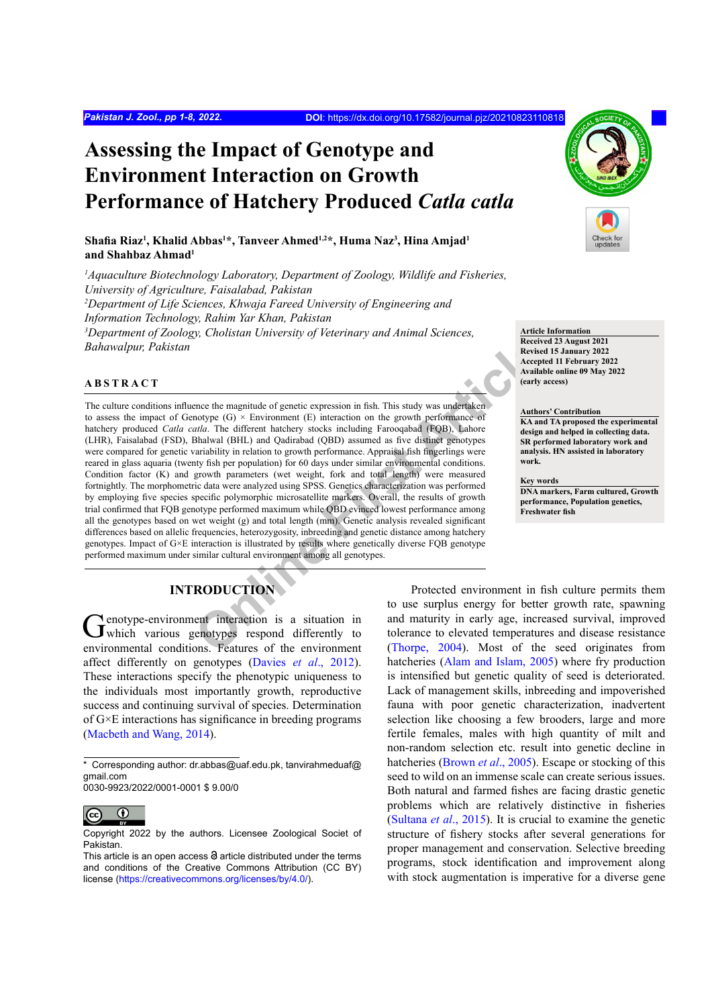# **Assessing the Impact of Genotype and Environment Interaction on Growth Performance of Hatchery Produced** *Catla catla*

# **Shafia Riaz<sup>1</sup> , Khalid Abbas1 \*, Tanveer Ahmed1,2\*, Huma Naz<sup>3</sup> , Hina Amjad1 and Shahbaz Ahmad<sup>1</sup>**

<sup>1</sup> Aquaculture Biotechnology Laboratory, Department of Zoology, Wildlife and Fisheries, *University of Agriculture, Faisalabad, Pakistan 2 Department of Life Sciences, Khwaja Fareed University of Engineering and Information Technology, Rahim Yar Khan, Pakistan 3 Department of Zoology, Cholistan University of Veterinary and Animal Sciences, Bahawalpur, Pakistan*

## **ABSTRACT**

**Exerive the magnitude of genetic expression in fish. This study was underfaken**<br> **Exerigential**<br> **Only are different lacking in Figure 1.1 and Capital Article (G)**  $\times$  Environment (E) interaction on the growth performanc The culture conditions influence the magnitude of genetic expression in fish. This study was undertaken to assess the impact of Genotype  $(G) \times$  Environment  $(E)$  interaction on the growth performance of hatchery produced *Catla catla*. The different hatchery stocks including Farooqabad (FQB), Lahore (LHR), Faisalabad (FSD), Bhalwal (BHL) and Qadirabad (QBD) assumed as five distinct genotypes were compared for genetic variability in relation to growth performance. Appraisal fish fingerlings were reared in glass aquaria (twenty fish per population) for 60 days under similar environmental conditions. Condition factor (K) and growth parameters (wet weight, fork and total length) were measured fortnightly. The morphometric data were analyzed using SPSS. Genetics characterization was performed by employing five species specific polymorphic microsatellite markers. Overall, the results of growth trial confirmed that FQB genotype performed maximum while QBD evinced lowest performance among all the genotypes based on wet weight (g) and total length (mm). Genetic analysis revealed significant differences based on allelic frequencies, heterozygosity, inbreeding and genetic distance among hatchery genotypes. Impact of G×E interaction is illustrated by results where genetically diverse FQB genotype performed maximum under similar cultural environment among all genotypes.

# **INTRODUCTION**

Genotype-environment interaction is a situation in which various genotypes respond differently to environmental conditions. Features of the environment affect differently on genotypes [\(Davies](#page-6-0) *et al*., 2012). These interactions specify the phenotypic uniqueness to the individuals most importantly growth, reproductive success and continuing survival of species. Determination of G×E interactions has significance in breeding programs [\(Macbeth and Wang, 2014](#page-6-1)).

0030-9923/2022/0001-0001 \$ 9.00/0



Copyright 2022 by the authors. Licensee Zoological Societ of Pakistan.



**Article Information**

**Received 23 August 2021 Revised 15 January 2022 Accepted 11 February 2022 Available online 09 May 2022 (early access)**

#### **Authors' Contribution**

**KA and TA proposed the experimental design and helped in collecting data. SR performed laboratory work and analysis. HN assisted in laboratory work.**

**Key words**

**DNA markers, Farm cultured, Growth performance, Population genetics, Freshwater fish**

Protected environment in fish culture permits them to use surplus energy for better growth rate, spawning and maturity in early age, increased survival, improved tolerance to elevated temperatures and disease resistance (Thorpe, 2004). Most of the seed originates from hatcheries [\(Alam and Islam, 2005](#page-5-0)) where fry production is intensified but genetic quality of seed is deteriorated. Lack of management skills, inbreeding and impoverished fauna with poor genetic characterization, inadvertent selection like choosing a few brooders, large and more fertile females, males with high quantity of milt and non-random selection etc. result into genetic decline in hatcheries [\(Brown](#page-5-1) *et al*., 2005). Escape or stocking of this seed to wild on an immense scale can create serious issues. Both natural and farmed fishes are facing drastic genetic problems which are relatively distinctive in fisheries [\(Sultana](#page-6-3) *et al*., 2015). It is crucial to examine the genetic structure of fishery stocks after several generations for proper management and conservation. Selective breeding programs, stock identification and improvement along with stock augmentation is imperative for a diverse gene

<sup>\*</sup> Corresponding author: dr.abbas@uaf.edu.pk, tanvirahmeduaf@ gmail.com

This article is an open access  $\Theta$  article distributed under the terms and conditions of the Creative Commons Attribution (CC BY) license (https://creativecommons.org/licenses/by/4.0/).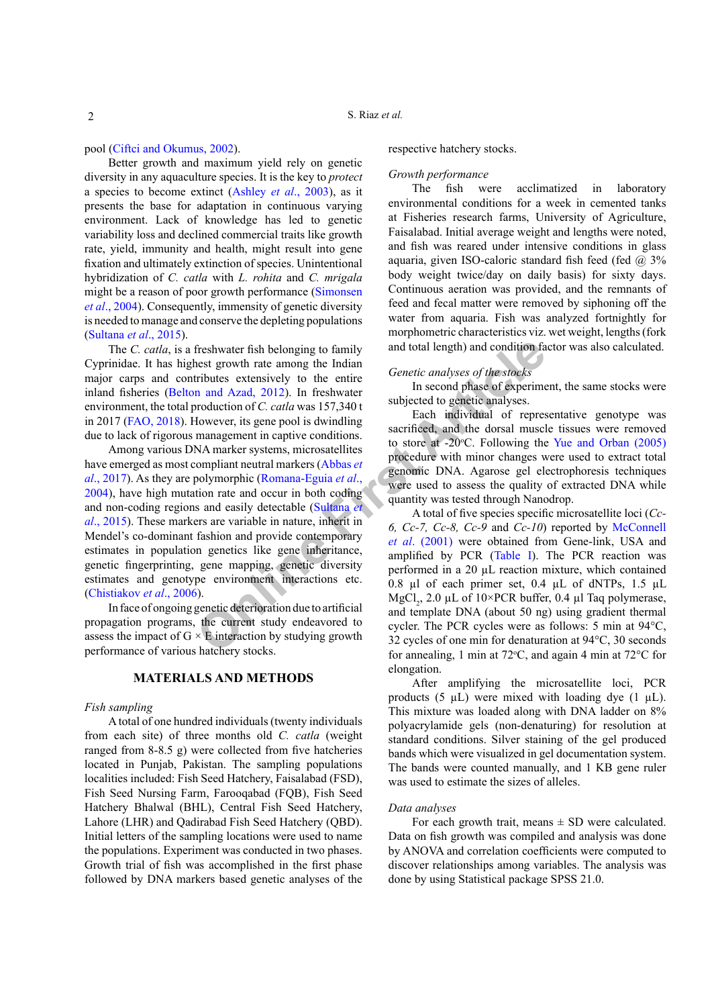pool [\(Ciftci and Okumus, 2002](#page-6-4)).

Better growth and maximum yield rely on genetic diversity in any aquaculture species. It is the key to *protect*  a species to become extinct (Ashley *et al*., 2003), as it presents the base for adaptation in continuous varying environment. Lack of knowledge has led to genetic variability loss and declined commercial traits like growth rate, yield, immunity and health, might result into gene fixation and ultimately extinction of species. Unintentional hybridization of *C. catla* with *L. rohita* and *C. mrigala*  might be a reason of poor growth performance ([Simonsen](#page-6-5) *et al*[., 2004](#page-6-5)). Consequently, immensity of genetic diversity is needed to manage and conserve the depleting populations [\(Sultana](#page-6-3) *et al*., 2015).

The *C. catla*, is a freshwater fish belonging to family Cyprinidae. It has highest growth rate among the Indian major carps and contributes extensively to the entire inland fisheries (Belton and Azad, 2012). In freshwater environment, the total production of *C. catla* was 157,340 t in 2017 ([FAO, 2018\)](#page-6-6). However, its gene pool is dwindling due to lack of rigorous management in captive conditions.

Treshwater fish belonging to family<br>
and total length) and condition fa<br>
tributes extensively to the entire<br>
in and Azad, 2012). In freshwater<br>
In second phase of experime<br>
In second phase of experime<br>
In second phase of e Among various DNA marker systems, microsatellites have emerged as most compliant neutral markers (Abbas *et al*[., 2017\)](#page-5-3). As they are polymorphic (Romana-Eguia *et al*., [2004\)](#page-6-7), have high mutation rate and occur in both coding and non-coding regions and easily detectable (Sultana *et al*[., 2015](#page-6-3)). These markers are variable in nature, inherit in Mendel's co-dominant fashion and provide contemporary estimates in population genetics like gene inheritance, genetic fingerprinting, gene mapping, genetic diversity estimates and genotype environment interactions etc. [\(Chistiakov](#page-6-8) *et al*., 2006).

In face of ongoing genetic deterioration due to artificial propagation programs, the current study endeavored to assess the impact of  $G \times E$  interaction by studying growth performance of various hatchery stocks.

# **MATERIALS AND METHODS**

#### *Fish sampling*

A total of one hundred individuals (twenty individuals from each site) of three months old *C. catla* (weight ranged from 8-8.5 g) were collected from five hatcheries located in Punjab, Pakistan. The sampling populations localities included: Fish Seed Hatchery, Faisalabad (FSD), Fish Seed Nursing Farm, Farooqabad (FQB), Fish Seed Hatchery Bhalwal (BHL), Central Fish Seed Hatchery, Lahore (LHR) and Qadirabad Fish Seed Hatchery (QBD). Initial letters of the sampling locations were used to name the populations. Experiment was conducted in two phases. Growth trial of fish was accomplished in the first phase followed by DNA markers based genetic analyses of the respective hatchery stocks.

#### *Growth performance*

The fish were acclimatized in laboratory environmental conditions for a week in cemented tanks at Fisheries research farms, University of Agriculture, Faisalabad. Initial average weight and lengths were noted, and fish was reared under intensive conditions in glass aquaria, given ISO-caloric standard fish feed (fed  $\omega$  3% body weight twice/day on daily basis) for sixty days. Continuous aeration was provided, and the remnants of feed and fecal matter were removed by siphoning off the water from aquaria. Fish was analyzed fortnightly for morphometric characteristics viz. wet weight, lengths (fork and total length) and condition factor was also calculated.

# *Genetic analyses of the stocks*

In second phase of experiment, the same stocks were subjected to genetic analyses.

Each individual of representative genotype was sacrificed, and the dorsal muscle tissues were removed to store at  $-20^{\circ}$ C. Following the [Yue and Orban \(2005\)](#page-6-9) procedure with minor changes were used to extract total genomic DNA. Agarose gel electrophoresis techniques were used to assess the quality of extracted DNA while quantity was tested through Nanodrop.

A total of five species specific microsatellite loci (*Cc-6, Cc-7, Cc-8, Cc-9* and *Cc-10*) reported by [McConnell](#page-6-10) *et al*. (2001) were obtained from Gene-link, USA and amplified by PCR (Table I). The PCR reaction was performed in a 20 µL reaction mixture, which contained 0.8 µl of each primer set, 0.4 µL of dNTPs, 1.5 µL MgCl<sub>2</sub>, 2.0  $\mu$ L of 10×PCR buffer, 0.4  $\mu$ l Taq polymerase, and template DNA (about 50 ng) using gradient thermal cycler. The PCR cycles were as follows: 5 min at 94°C, 32 cycles of one min for denaturation at 94°C, 30 seconds for annealing, 1 min at 72 $\degree$ C, and again 4 min at 72 $\degree$ C for elongation.

After amplifying the microsatellite loci, PCR products (5  $\mu$ L) were mixed with loading dye (1  $\mu$ L). This mixture was loaded along with DNA ladder on 8% polyacrylamide gels (non-denaturing) for resolution at standard conditions. Silver staining of the gel produced bands which were visualized in gel documentation system. The bands were counted manually, and 1 KB gene ruler was used to estimate the sizes of alleles.

#### *Data analyses*

For each growth trait, means  $\pm$  SD were calculated. Data on fish growth was compiled and analysis was done by ANOVA and correlation coefficients were computed to discover relationships among variables. The analysis was done by using Statistical package SPSS 21.0.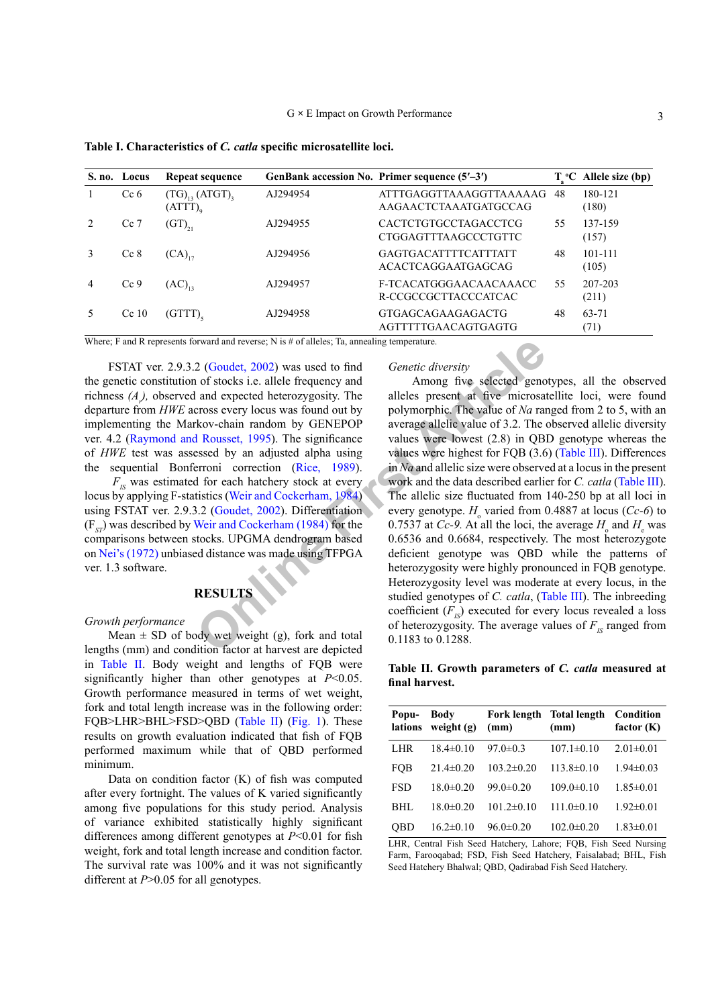|                | S. no. Locus    | Repeat sequence                                         |          | GenBank accession No. Primer sequence $(5'–3')$            |    | $ToC$ Allele size (bp) |
|----------------|-----------------|---------------------------------------------------------|----------|------------------------------------------------------------|----|------------------------|
| 1              | Ce <sub>6</sub> | $(TG)_{13}$ (ATGT) <sub>3</sub><br>$(ATT)$ <sub>0</sub> | AJ294954 | ATTTGAGGTTAAAGGTTAAAAAG<br>AAGAACTCTAAATGATGCCAG           | 48 | 180-121<br>(180)       |
| $\mathcal{L}$  | $Cc$ 7          | $(GT)_{21}$                                             | AJ294955 | <b>CACTCTGTGCCTAGACCTCG</b><br><b>CTGGAGTTTAAGCCCTGTTC</b> | 55 | 137-159<br>(157)       |
| $\mathcal{E}$  | $Cc$ 8          | $(CA)_{17}$                                             | AJ294956 | <b>GAGTGACATTTTCATTTATT</b><br>ACACTCAGGAATGAGCAG          | 48 | 101-111<br>(105)       |
| $\overline{4}$ | Cc9             | $(AC)_{13}$                                             | AJ294957 | F-TCACATGGGAACAACAAACC<br>R-CCGCCGCTTACCCATCAC             | 55 | 207-203<br>(211)       |
|                | Cc10            | (GTTT)                                                  | AJ294958 | GTGAGCAGAAGAGACTG<br>AGTTTTTGAACAGTGAGTG                   | 48 | 63-71<br>(71)          |

<span id="page-2-0"></span>**Table I. Characteristics of** *C. catla* **specific microsatellite loci.**

Where; F and R represents forward and reverse; N is # of alleles; Ta, annealing temperature.

FSTAT ver. 2.9.3.2 (Goudet, 2002) was used to find the genetic constitution of stocks i.e. allele frequency and richness  $(A)$ , observed and expected heterozygosity. The departure from *HWE* across every locus was found out by implementing the Markov-chain random by GENEPOP ver. 4.2 ([Raymond and Rousset, 1995\)](#page-6-12). The significance of *HWE* test was assessed by an adjusted alpha using the sequential Bonferroni correction (Rice, 1989).

 $F_{IS}$  was estimated for each hatchery stock at every locus by applying F-statistics (Weir and Cockerham, 1984) using FSTAT ver. 2.9.3.2 (Goudet, 2002). Differentiation (F*ST*) was described by Weir and Cockerham (1984) for the comparisons between stocks. UPGMA dendrogram based on [Nei's \(1972\)](#page-6-15) unbiased distance was made using TFPGA ver. 1.3 software.

# **RESULTS**

#### *Growth performance*

Mean  $\pm$  SD of body wet weight (g), fork and total lengths (mm) and condition factor at harvest are depicted in [Table II](#page-2-1). Body weight and lengths of FQB were significantly higher than other genotypes at *P*<0.05. Growth performance measured in terms of wet weight, fork and total length increase was in the following order: FQB>LHR>BHL>FSD>QBD ([Table II\)](#page-2-1) ([Fig. 1](#page-3-0)). These results on growth evaluation indicated that fish of FQB performed maximum while that of QBD performed minimum.

Data on condition factor (K) of fish was computed after every fortnight. The values of K varied significantly among five populations for this study period. Analysis of variance exhibited statistically highly significant differences among different genotypes at *P*<0.01 for fish weight, fork and total length increase and condition factor. The survival rate was 100% and it was not significantly different at *P*>0.05 for all genotypes.

# *Genetic diversity*

EXELL TREATIVE THE TONGING THE TONGING THE TOWARD And to the same of the same of the same of the same of the same of the same of the same of the same of the same of the same of the same of the same of the same of the same Among five selected genotypes, all the observed alleles present at five microsatellite loci, were found polymorphic. The value of *Na* ranged from 2 to 5, with an average allelic value of 3.2. The observed allelic diversity values were lowest (2.8) in QBD genotype whereas the values were highest for FQB (3.6) ([Table III](#page-4-0)). Differences in *Na* and allelic size were observed at a locus in the present work and the data described earlier for *C. catla* [\(Table III](#page-4-0)). The allelic size fluctuated from 140-250 bp at all loci in every genotype. *H*<sub>o</sub> varied from 0.4887 at locus (*Cc-6*) to 0.7537 at *Cc*-9. At all the loci, the average  $H_0$  and  $H_e$  was 0.6536 and 0.6684, respectively. The most heterozygote deficient genotype was QBD while the patterns of heterozygosity were highly pronounced in FQB genotype. Heterozygosity level was moderate at every locus, in the studied genotypes of *C. catla*, [\(Table III](#page-4-0)). The inbreeding coefficient  $(F_{I<sub>S</sub>})$  executed for every locus revealed a loss of heterozygosity. The average values of  $F_{IS}$  ranged from 0.1183 to 0.1288.

<span id="page-2-1"></span>**Table II. Growth parameters of** *C. catla* **measured at final harvest.**

| Popu-<br>lations | <b>Body</b><br>weight $(g)$ | <b>Fork length</b><br>(mm) | <b>Total length</b><br>(mm) | Condition<br>factor $(K)$ |
|------------------|-----------------------------|----------------------------|-----------------------------|---------------------------|
| LHR              | $18.4 \pm 0.10$             | $97.0 \pm 0.3$             | $107.1 \pm 0.10$            | $2.01 \pm 0.01$           |
| FOB              | $21.4 \pm 0.20$             | $103.2 \pm 0.20$           | $113.8 \pm 0.10$            | $1.94 \pm 0.03$           |
| FSD              | $18.0 \pm 0.20$             | $99.0 \pm 0.20$            | $109.0 \pm 0.10$            | $1.85 \pm 0.01$           |
| BHL              | $18.0 \pm 0.20$             | $101.2 \pm 0.10$           | $111.0 \pm 0.10$            | $1.92 \pm 0.01$           |
| OBD              | $16.2 \pm 0.10$             | $96.0 \pm 0.20$            | $102.0 \pm 0.20$            | $1.83 \pm 0.01$           |

LHR, Central Fish Seed Hatchery, Lahore; FQB, Fish Seed Nursing Farm, Farooqabad; FSD, Fish Seed Hatchery, Faisalabad; BHL, Fish Seed Hatchery Bhalwal; QBD, Qadirabad Fish Seed Hatchery.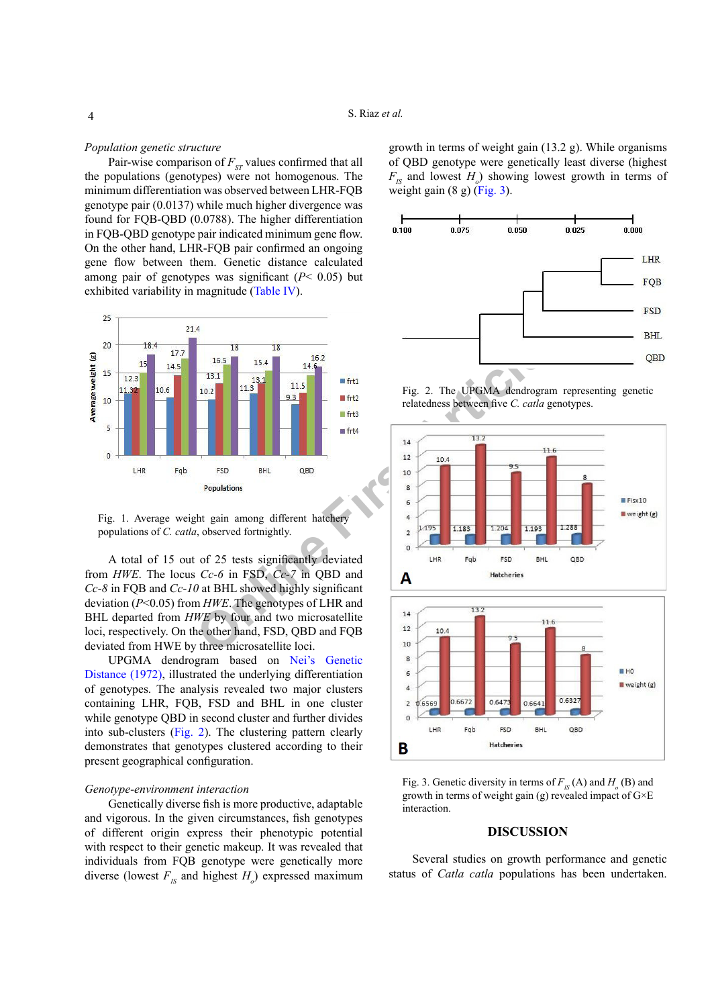## *Population genetic structure*

Pair-wise comparison of  $F_{ST}$  values confirmed that all the populations (genotypes) were not homogenous. The minimum differentiation was observed between LHR-FQB genotype pair (0.0137) while much higher divergence was found for FQB-QBD (0.0788). The higher differentiation in FQB-QBD genotype pair indicated minimum gene flow. On the other hand, LHR-FQB pair confirmed an ongoing gene flow between them. Genetic distance calculated among pair of genotypes was significant  $(P< 0.05)$  but exhibited variability in magnitude [\(Table IV](#page-4-1)).



<span id="page-3-0"></span>Fig. 1. Average weight gain among different hatchery populations of *C. catla*, observed fortnightly.

A total of 15 out of 25 tests significantly deviated from *HWE*. The locus *Cc-6* in FSD, *Cc-7* in QBD and *Cc-8* in FQB and *Cc-10* at BHL showed highly significant deviation (*P*˂0.05) from *HWE*. The genotypes of LHR and BHL departed from *HWE* by four and two microsatellite loci, respectively. On the other hand, FSD, QBD and FQB deviated from HWE by three microsatellite loci.

UPGMA dendrogram based on [Nei's Genetic](#page-6-15) [Distance \(1972\),](#page-6-15) illustrated the underlying differentiation of genotypes. The analysis revealed two major clusters containing LHR, FQB, FSD and BHL in one cluster while genotype QBD in second cluster and further divides into sub-clusters ([Fig. 2\)](#page-3-1). The clustering pattern clearly demonstrates that genotypes clustered according to their present geographical configuration.

#### *Genotype-environment interaction*

Genetically diverse fish is more productive, adaptable and vigorous. In the given circumstances, fish genotypes of different origin express their phenotypic potential with respect to their genetic makeup. It was revealed that individuals from FQB genotype were genetically more diverse (lowest  $F_{IS}$  and highest  $H_o$ ) expressed maximum

growth in terms of weight gain (13.2 g). While organisms of QBD genotype were genetically least diverse (highest  $F_{IS}$  and lowest  $H_o$ ) showing lowest growth in terms of weight gain  $(8 g)$  ([Fig. 3\)](#page-3-2).



<span id="page-3-1"></span>Fig. 2. The UPGMA dendrogram representing genetic relatedness between five *C. catla* genotypes.



<span id="page-3-2"></span>Fig. 3. Genetic diversity in terms of  $F_{IS}(A)$  and  $H_o(B)$  and growth in terms of weight gain (g) revealed impact of  $G \times E$ interaction.

# **DISCUSSION**

Several studies on growth performance and genetic status of *Catla catla* populations has been undertaken.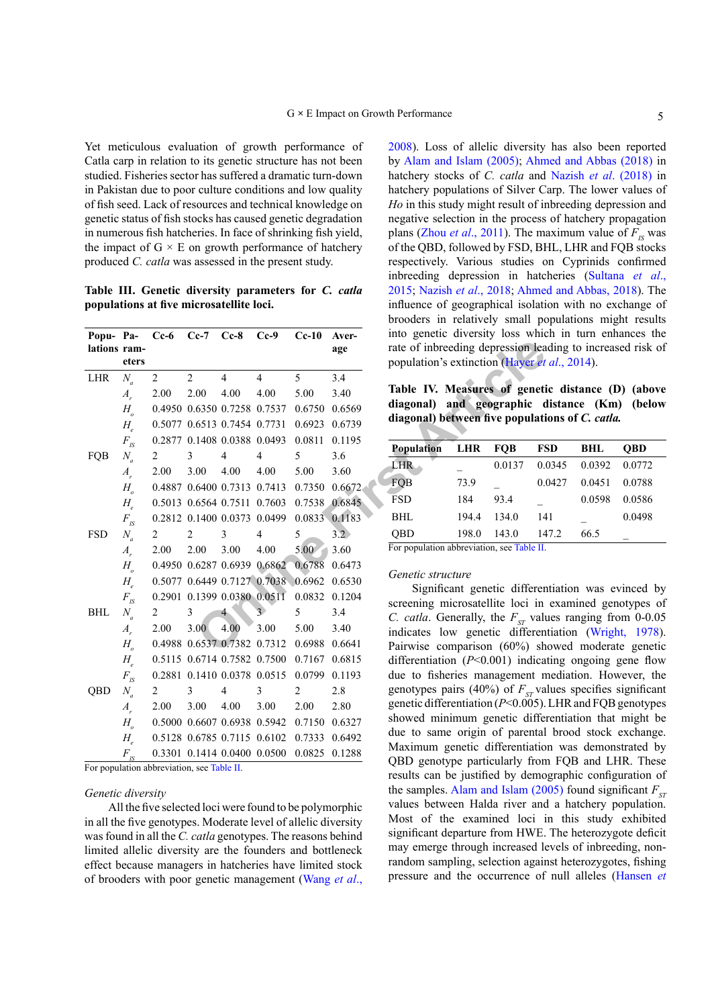Yet meticulous evaluation of growth performance of Catla carp in relation to its genetic structure has not been studied. Fisheries sector has suffered a dramatic turn-down in Pakistan due to poor culture conditions and low quality of fish seed. Lack of resources and technical knowledge on genetic status of fish stocks has caused genetic degradation in numerous fish hatcheries. In face of shrinking fish yield, the impact of  $G \times E$  on growth performance of hatchery produced *C. catla* was assessed in the present study.

<span id="page-4-0"></span>**Table III. Genetic diversity parameters for** *C. catla* **populations at five microsatellite loci.**

| Popu-Pa-<br>lations ram- | eters                           | $Cc-6$ | $Ce-7$ | $Cc-8$                      | $Cc-9$                                    | $Cc-10$       | Aver-<br>age | into genetic diversity loss which<br>rate of inbreeding depression lea<br>population's extinction (Hayer et |            |            |              |  |
|--------------------------|---------------------------------|--------|--------|-----------------------------|-------------------------------------------|---------------|--------------|-------------------------------------------------------------------------------------------------------------|------------|------------|--------------|--|
| <b>LHR</b>               | $N_a$                           | 2      | 2      | 4                           | 4                                         | 5             | 3.4          |                                                                                                             |            |            |              |  |
|                          | $A_{r}$                         | 2.00   | 2.00   | 4.00                        | 4.00                                      | 5.00          | 3.40         | Table IV. Measures of geneti                                                                                |            |            |              |  |
|                          | $H_{\scriptscriptstyle{o}}$     |        |        |                             | 0.4950 0.6350 0.7258 0.7537               | 0.6750        | 0.6569       | diagonal) and geographic d                                                                                  |            |            |              |  |
|                          | $H_{\scriptscriptstyle\circ}$   |        |        | 0.5077 0.6513 0.7454 0.7731 |                                           | 0.6923        | 0.6739       | diagonal) between five populati                                                                             |            |            |              |  |
|                          | $F_{IS}$                        |        |        |                             | 0.2877 0.1408 0.0388 0.0493               | 0.0811        | 0.1195       |                                                                                                             |            |            |              |  |
| FQB                      | $N_a$                           | 2      | 3      | 4                           | 4                                         | 5             | 3.6          | Population                                                                                                  | <b>LHR</b> | <b>FQB</b> | $F^{\prime}$ |  |
|                          | $A_{r}$                         | 2.00   | 3.00   | 4.00                        | 4.00                                      | 5.00          | 3.60         | LHR-                                                                                                        |            | 0.0137     | 0.0          |  |
|                          | $H_{\scriptscriptstyle o}$      |        |        | 0.4887 0.6400 0.7313 0.7413 |                                           | 0.7350        | 0.6672       | FQB                                                                                                         | 73.9       |            | 0.0          |  |
|                          | $H_{\scriptscriptstyle\rho}$    |        |        |                             | 0.5013 0.6564 0.7511 0.7603               | 0.7538 0.6845 |              | <b>FSD</b>                                                                                                  | 184        | 93.4       |              |  |
|                          | $F_{\rm \scriptscriptstyle IS}$ |        |        |                             | 0.2812 0.1400 0.0373 0.0499               | 0.0833 0.1183 |              | <b>BHL</b>                                                                                                  | 194.4      | 134.0      | 14           |  |
| <b>FSD</b>               | $N_a$                           | 2      | 2      | 3                           | 4                                         | 5             | 3.2          | <b>OBD</b>                                                                                                  | 198.0      | 143.0      | 14           |  |
|                          | $A_{r}$                         | 2.00   | 2.00   | 3.00                        | 4.00                                      | 5.00          | 3.60         | For population abbreviation, see Table II.                                                                  |            |            |              |  |
|                          | $H_{\scriptscriptstyle{o}}$     |        |        |                             | 0.4950 0.6287 0.6939 0.6862               | 0.6788 0.6473 |              |                                                                                                             |            |            |              |  |
|                          | $H_{\scriptscriptstyle\circ}$   |        |        |                             | 0.5077 0.6449 0.7127 0.7038 0.6962 0.6530 |               |              | <i>Genetic structure</i>                                                                                    |            |            |              |  |
|                          | $F_{\rm \scriptscriptstyle IS}$ |        |        |                             | 0.2901 0.1399 0.0380 0.0511               | 0.0832        | 0.1204       | Significant genetic different<br>screening microsatellite loci in                                           |            |            |              |  |
| <b>BHL</b>               | $N_a$                           | 2      | 3      | $\overline{4}$              | $\mathcal{F}$                             | 5             | 3.4          | C. catla. Generally, the $F_{ST}$ value                                                                     |            |            |              |  |
|                          | $A_{r}$                         | 2.00   | 3.00   | 4.00                        | 3.00                                      | 5.00          | 3.40         | indicates low genetic differen                                                                              |            |            |              |  |
|                          | $H_{\scriptscriptstyle o}$      |        |        | 0.4988 0.6537 0.7382 0.7312 |                                           | 0.6988        | 0.6641       | Pairwise comparison (60%) sh<br>differentiation $(P<0.001)$ indica                                          |            |            |              |  |
|                          | $H_{\scriptscriptstyle\rho}$    |        |        |                             | 0.5115 0.6714 0.7582 0.7500               | 0.7167 0.6815 |              |                                                                                                             |            |            |              |  |
|                          | $F_{\rm \scriptscriptstyle IS}$ |        |        |                             | 0.2881 0.1410 0.0378 0.0515               | 0.0799        | 0.1193       | due to fisheries management n                                                                               |            |            |              |  |
| QBD                      | $N_a$                           | 2      | 3      | 4                           | 3                                         | 2             | 2.8          | genotypes pairs (40%) of $F_{ST}$ va                                                                        |            |            |              |  |
|                          | $A_{r}$                         | 2.00   | 3.00   | 4.00                        | 3.00                                      | 2.00          | 2.80         | genetic differentiation ( $P<0.005$ ).                                                                      |            |            |              |  |
|                          | $H_{\circ}$                     |        |        | 0.5000 0.6607 0.6938 0.5942 |                                           | 0.7150        | 0.6327       | showed minimum genetic differ                                                                               |            |            |              |  |
|                          | $H_{\scriptscriptstyle\circ}$   |        |        |                             | 0.5128 0.6785 0.7115 0.6102               | 0.7333        | 0.6492       | due to same origin of parental                                                                              |            |            |              |  |
|                          | $F_{\rm \scriptscriptstyle IS}$ |        |        |                             | 0.3301 0.1414 0.0400 0.0500 0.0825 0.1288 |               |              | Maximum genetic differentiatio<br>OBD genotype particularly from                                            |            |            |              |  |

For population abbreviation, see [Table II](#page-2-1).

## *Genetic diversity*

All the five selected loci were found to be polymorphic in all the five genotypes. Moderate level of allelic diversity was found in all the *C. catla* genotypes. The reasons behind limited allelic diversity are the founders and bottleneck effect because managers in hatcheries have limited stock of brooders with poor genetic management [\(Wang](#page-6-16) *et al*.,

[2008\)](#page-6-16). Loss of allelic diversity has also been reported by [Alam and Islam \(2005\);](#page-5-0) [Ahmed and Abbas \(2018\)](#page-5-4) in hatchery stocks of *C. catla* and Nazish *et al*[. \(2018\)](#page-6-17) in hatchery populations of Silver Carp. The lower values of *Ho* in this study might result of inbreeding depression and negative selection in the process of hatchery propagation plans (Zhou *et al.*, 2011). The maximum value of  $F_{IS}$  was of the QBD, followed by FSD, BHL, LHR and FQB stocks respectively. Various studies on Cyprinids confirmed inbreeding depression in hatcheries [\(Sultana](#page-6-3) *et al*., [2015;](#page-6-3) [Nazish](#page-6-17) *et al*., 2018; [Ahmed and Abbas, 2018\)](#page-5-4). The influence of geographical isolation with no exchange of brooders in relatively small populations might results into genetic diversity loss which in turn enhances the rate of inbreeding depression leading to increased risk of population's extinction (Hayer *et al*., 2014).

<span id="page-4-1"></span>**Table IV. Measures of genetic distance (D) (above diagonal) and geographic distance (Km) (below diagonal) between five populations of** *C. catla.*

| <b>Population</b> | <b>LHR</b> | <b>FOB</b> | <b>FSD</b> | <b>BHL</b> | <b>OBD</b> |
|-------------------|------------|------------|------------|------------|------------|
| LHR.              |            | 0.0137     | 0.0345     | 0.0392     | 0.0772     |
| <b>FOB</b>        | 73.9       |            | 0.0427     | 0.0451     | 0.0788     |
| <b>FSD</b>        | 184        | 93.4       |            | 0.0598     | 0.0586     |
| BHL               | 1944       | 134.0      | 141        |            | 0.0498     |
| QBD               | 198.0      | 143.0      | 147.2      | 66.5       |            |

#### *Genetic structure*

Significant genetic differentiation was evinced by screening microsatellite loci in examined genotypes of *C. catla.* Generally, the  $F_{ST}$  values ranging from 0-0.05 indicates low genetic differentiation ([Wright, 1978](#page-6-19)). Pairwise comparison (60%) showed moderate genetic differentiation (*P*<0.001) indicating ongoing gene flow due to fisheries management mediation. However, the genotypes pairs (40%) of  $F_{ST}$  values specifies significant genetic differentiation (*P*<0.005). LHR and FQB genotypes showed minimum genetic differentiation that might be due to same origin of parental brood stock exchange. Maximum genetic differentiation was demonstrated by QBD genotype particularly from FQB and LHR. These results can be justified by demographic configuration of the samples. [Alam and Islam \(2005\)](#page-5-0) found significant  $F_{ST}$ values between Halda river and a hatchery population. Most of the examined loci in this study exhibited significant departure from HWE. The heterozygote deficit may emerge through increased levels of inbreeding, nonrandom sampling, selection against heterozygotes, fishing pressure and the occurrence of null alleles [\(Hansen](#page-6-20) *et*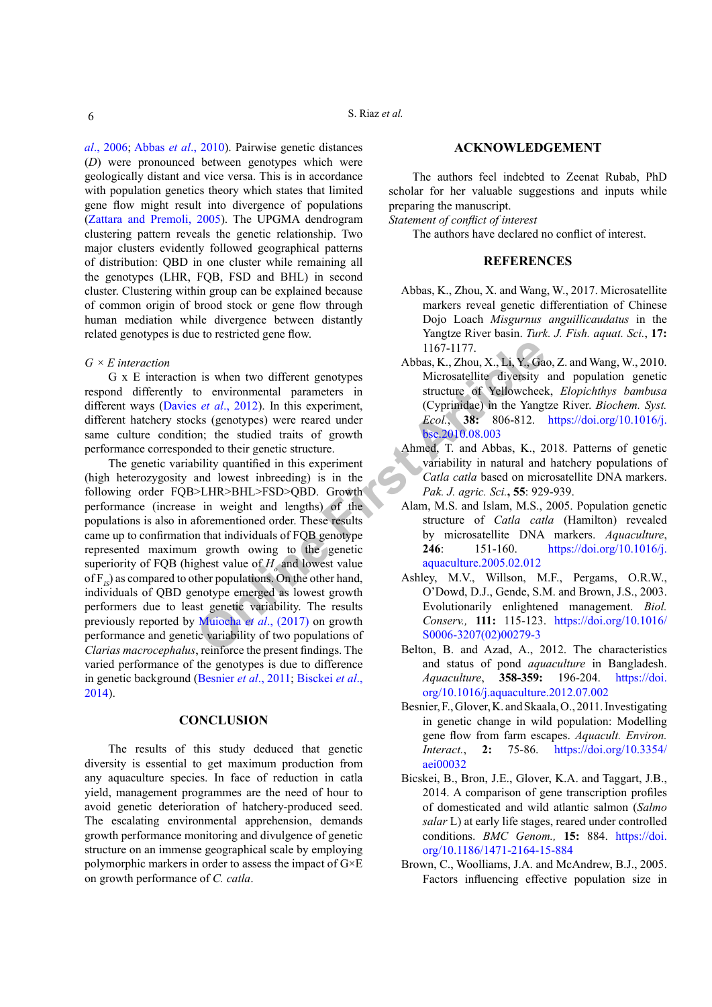*al*[., 2006;](#page-6-20) Abbas *et al*[., 2010\)](#page-5-5). Pairwise genetic distances (*D*) were pronounced between genotypes which were geologically distant and vice versa. This is in accordance with population genetics theory which states that limited gene flow might result into divergence of populations [\(Zattara and Premoli, 2005\)](#page-6-21). The UPGMA dendrogram clustering pattern reveals the genetic relationship. Two major clusters evidently followed geographical patterns of distribution: QBD in one cluster while remaining all the genotypes (LHR, FQB, FSD and BHL) in second cluster. Clustering within group can be explained because of common origin of brood stock or gene flow through human mediation while divergence between distantly related genotypes is due to restricted gene flow.

# *G × E interaction*

G x E interaction is when two different genotypes respond differently to environmental parameters in different ways (Davies *et al*., 2012). In this experiment, different hatchery stocks (genotypes) were reared under same culture condition; the studied traits of growth performance corresponded to their genetic structure.

1167-1177.<br>
Abbas, K., Zhou, X., Li, Y., Ga<br>
to environmental parameters in<br>
set al., 2012). In this experiment,<br>
set al., 2012). In this experiment,<br>
(Cyprimidae) in the Yangt<br>
state (genotypes) were reared under<br>
Fig. 1, The genetic variability quantified in this experiment (high heterozygosity and lowest inbreeding) is in the following order FQB>LHR>BHL>FSD>QBD. Growth performance (increase in weight and lengths) of the populations is also in aforementioned order. These results came up to confirmation that individuals of FQB genotype represented maximum growth owing to the genetic superiority of FQB (highest value of  $H_0$  and lowest value of F<sub>IS</sub>) as compared to other populations. On the other hand, individuals of QBD genotype emerged as lowest growth performers due to least genetic variability. The results previously reported by Muiocha *et al*., (2017) on growth performance and genetic variability of two populations of *Clarias macrocephalus*, reinforce the present findings. The varied performance of the genotypes is due to difference in genetic background [\(Besnier](#page-5-6) *et al*., 2011; [Bisckei](#page-5-7) *et al*., [2014\)](#page-5-7).

# **CONCLUSION**

The results of this study deduced that genetic diversity is essential to get maximum production from any aquaculture species. In face of reduction in catla yield, management programmes are the need of hour to avoid genetic deterioration of hatchery-produced seed. The escalating environmental apprehension, demands growth performance monitoring and divulgence of genetic structure on an immense geographical scale by employing polymorphic markers in order to assess the impact of G×E on growth performance of *C. catla*.

#### **ACKNOWLEDGEMENT**

The authors feel indebted to Zeenat Rubab, PhD scholar for her valuable suggestions and inputs while preparing the manuscript.

*Statement of conflict of interest*

The authors have declared no conflict of interest.

#### **REFERENCES**

- <span id="page-5-3"></span>Abbas, K., Zhou, X. and Wang, W., 2017. Microsatellite markers reveal genetic differentiation of Chinese Dojo Loach *Misgurnus anguillicaudatus* in the Yangtze River basin. *Turk. J. Fish. aquat. Sci.*, **17:** 1167-1177.
- <span id="page-5-5"></span>Abbas, K., Zhou, X., Li, Y., Gao, Z. and Wang, W., 2010. Microsatellite diversity and population genetic structure of Yellowcheek, *Elopichthys bambusa* (Cyprinidae) in the Yangtze River. *Biochem. Syst. Ecol.*, **38:** 806-812. [https://doi.org/10.1016/j.](https://doi.org/10.1016/j.bse.2010.08.003) bse.2010.08.003
- <span id="page-5-4"></span>Ahmed, T. and Abbas, K., 2018. Patterns of genetic variability in natural and hatchery populations of *Catla catla* based on microsatellite DNA markers. *Pak. J. agric. Sci.***, 55**: 929-939.
- <span id="page-5-0"></span>Alam, M.S. and Islam, M.S., 2005. Population genetic structure of *Catla catla* (Hamilton) revealed by microsatellite DNA markers. *Aquaculture*, **246**: 151-160. [https://doi.org/10.1016/j.](https://doi.org/10.1016/j.aquaculture.2005.02.012) aquaculture.2005.02.012
- Ashley, M.V., Willson, M.F., Pergams, O.R.W., O'Dowd, D.J., Gende, S.M. and Brown, J.S., 2003. Evolutionarily enlightened management. *Biol. Conserv.,* **111:** 115-123. [https://doi.org/10.1016/](https://doi.org/10.1016/S0006-3207(02)00279-3) S0006-3207(02)00279-3
- <span id="page-5-2"></span>Belton, B. and Azad, A., 2012. The characteristics and status of pond *aquaculture* in Bangladesh. *Aquaculture*, **358-359:** 196-204. [https://doi.](https://doi.org/10.1016/j.aquaculture.2012.07.002) [org/10.1016/j.aquaculture.2012.07.002](https://doi.org/10.1016/j.aquaculture.2012.07.002)
- <span id="page-5-6"></span>Besnier, F., Glover, K. and Skaala, O., 2011. Investigating in genetic change in wild population: Modelling gene flow from farm escapes. *Aquacult. Environ. Interact.*, **2:** 75-86. [https://doi.org/10.3354/](https://doi.org/10.3354/aei00032) [aei00032](https://doi.org/10.3354/aei00032)
- <span id="page-5-7"></span>Bicskei, B., Bron, J.E., Glover, K.A. and Taggart, J.B., 2014. A comparison of gene transcription profiles of domesticated and wild atlantic salmon (*Salmo salar* L) at early life stages, reared under controlled conditions. *BMC Genom.,* **15:** 884. [https://doi.](https://doi.org/10.1186/1471-2164-15-884) [org/10.1186/1471-2164-15-884](https://doi.org/10.1186/1471-2164-15-884)
- <span id="page-5-1"></span>Brown, C., Woolliams, J.A. and McAndrew, B.J., 2005. Factors influencing effective population size in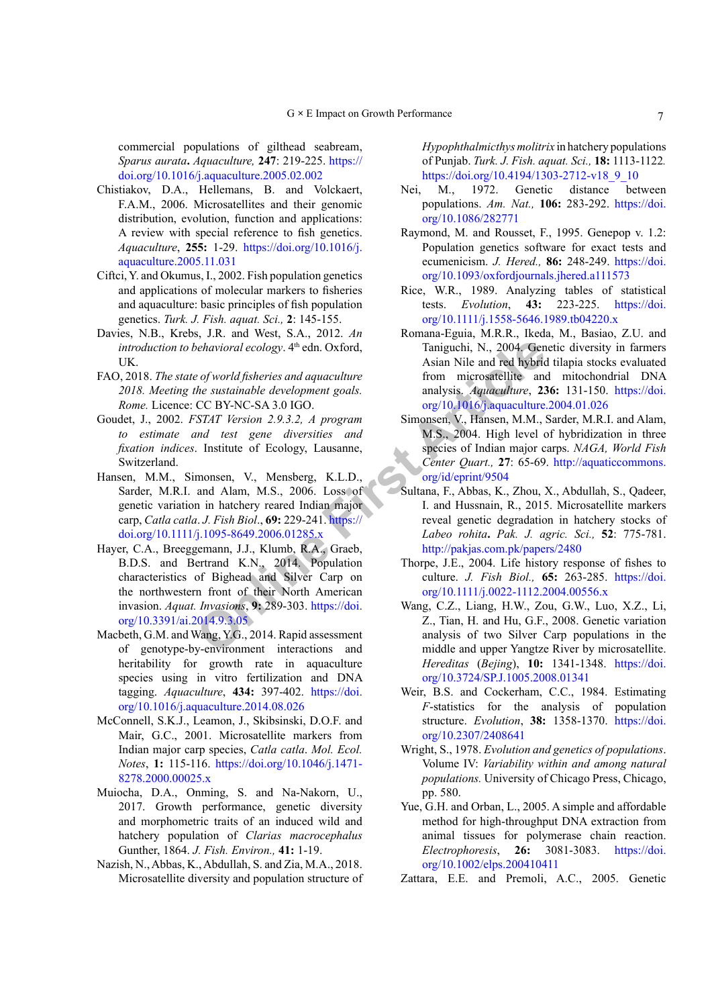commercial populations of gilthead seabream, *Sparus aurata***.** *Aquaculture,* **247**: 219-225. [https://](https://doi.org/10.1016/j.aquaculture.2005.02.002) [doi.org/10.1016/j.aquaculture.2005.02.002](https://doi.org/10.1016/j.aquaculture.2005.02.002)

- <span id="page-6-8"></span>Chistiakov, D.A., Hellemans, B. and Volckaert, F.A.M., 2006. Microsatellites and their genomic distribution, evolution, function and applications: A review with special reference to fish genetics. *Aquaculture*, **255:** 1-29. [https://doi.org/10.1016/j.](https://doi.org/10.1016/j.aquaculture.2005.11.031) [aquaculture.2005.11.031](https://doi.org/10.1016/j.aquaculture.2005.11.031)
- <span id="page-6-4"></span>Ciftci, Y. and Okumus, I., 2002. Fish population genetics and applications of molecular markers to fisheries and aquaculture: basic principles of fish population genetics. *Turk. J. Fish. aquat. Sci.,* **2**: 145-155.
- <span id="page-6-0"></span>Davies, N.B., Krebs, J.R. and West, S.A., 2012. *An introduction to behavioral ecology*. 4<sup>th</sup> edn. Oxford, UK.
- <span id="page-6-6"></span>FAO, 2018. *The state of world fisheries and aquaculture 2018. Meeting the sustainable development goals. Rome.* Licence: CC BY-NC-SA 3.0 IGO.
- <span id="page-6-11"></span>Goudet, J., 2002. *FSTAT Version 2.9.3.2, A program to estimate and test gene diversities and fixation indices*. Institute of Ecology, Lausanne, Switzerland.
- <span id="page-6-20"></span><span id="page-6-18"></span>Hansen, M.M., Simonsen, V., Mensberg, K.L.D., Sarder, M.R.I. and Alam, M.S., 2006. Loss of genetic variation in hatchery reared Indian major carp, *Catla catla*. *J. Fish Biol*., **69:** 229-241. https:// [doi.org/10.1111/j.1095-8649.2006.01285.x](https://doi.org/10.1111/j.1095-8649.2006.01285.x)
- Generation and Exercise of Ward Subsetted Articles (Note 1, [Fi](https://doi.org/10.1111/j.1095-8649.2006.01285.x)sh Biol. Asian Nile and red hybric from microsatellite and Article and Article CBY-NC-SA 3.0 IGO. The stationary and analysis, *Aquaculture*, 2.9.3.2, *A progra* Hayer, C.A., Breeggemann, J.J., Klumb, R.A., Graeb, B.D.S. and Bertrand K.N., 2014. Population characteristics of Bighead and Silver Carp on the northwestern front of their North American invasion. *Aquat. Invasions*, **9:** 289-303. https://doi. [org/10.3391/ai.2014.9.3.05](https://doi.org/10.3391/ai.2014.9.3.05)
- <span id="page-6-1"></span>Macbeth, G.M. and Wang, Y.G., 2014. Rapid assessment of genotype-by-environment interactions and heritability for growth rate in aquaculture species using in vitro fertilization and DNA tagging. *Aquaculture*, **434:** 397-402. [https://doi.](https://doi.org/10.1016/j.aquaculture.2014.08.026) [org/10.1016/j.aquaculture.2014.08.026](https://doi.org/10.1016/j.aquaculture.2014.08.026)
- <span id="page-6-10"></span>McConnell, S.K.J., Leamon, J., Skibsinski, D.O.F. and Mair, G.C., 2001. Microsatellite markers from Indian major carp species, *Catla catla*. *Mol. Ecol. Notes*, **1:** 115-116. [https://doi.org/10.1046/j.1471-](https://doi.org/10.1046/j.1471-8278.2000.00025.x) [8278.2000.00025.x](https://doi.org/10.1046/j.1471-8278.2000.00025.x)
- <span id="page-6-22"></span>Muiocha, D.A., Onming, S. and Na-Nakorn, U., 2017. Growth performance, genetic diversity and morphometric traits of an induced wild and hatchery population of *Clarias macrocephalus* Gunther, 1864. *J. Fish. Environ.,* **41:** 1-19.
- <span id="page-6-17"></span>Nazish, N., Abbas, K., Abdullah, S. and Zia, M.A., 2018. Microsatellite diversity and population structure of

*Hypophthalmicthys molitrix* in hatchery populations of Punjab. *Turk. J. Fish. aquat. Sci.,* **18:** 1113-1122*.*  [https://doi.org/10.4194/1303-2712-v18\\_9\\_10](https://doi.org/10.4194/1303-2712-v18_9_10)

- <span id="page-6-15"></span>Nei, M., 1972. Genetic distance between populations. *Am. Nat.,* **106:** 283-292. [https://doi.](https://doi.org/10.1086/282771) [org/10.1086/282771](https://doi.org/10.1086/282771)
- <span id="page-6-12"></span>Raymond, M. and Rousset, F., 1995. Genepop v. 1.2: Population genetics software for exact tests and ecumenicism. *J. Hered.,* **86:** 248-249. [https://doi.](https://doi.org/10.1093/oxfordjournals.jhered.a111573) [org/10.1093/oxfordjournals.jhered.a111573](https://doi.org/10.1093/oxfordjournals.jhered.a111573)
- <span id="page-6-13"></span>Rice, W.R., 1989. Analyzing tables of statistical tests. *Evolution*, **43:** 223-225. [https://doi.](https://doi.org/10.1111/j.1558-5646.1989.tb04220.x) [org/10.1111/j.1558-5646.1989.tb04220.x](https://doi.org/10.1111/j.1558-5646.1989.tb04220.x)
- <span id="page-6-7"></span>Romana-Eguia, M.R.R., Ikeda, M., Basiao, Z.U. and Taniguchi, N., 2004. Genetic diversity in farmers Asian Nile and red hybrid tilapia stocks evaluated from microsatellite and mitochondrial DNA analysis. *Aquaculture*, **236:** 131-150. [https://doi.](https://doi.org/10.1016/j.aquaculture.2004.01.026) [org/10.1016/j.aquaculture.2004.01.026](https://doi.org/10.1016/j.aquaculture.2004.01.026)
- <span id="page-6-5"></span>Simonsen, V., Hansen, M.M., Sarder, M.R.I. and Alam, M.S., 2004. High level of hybridization in three species of Indian major carps. *NAGA, World Fish Center Quart.,* **27**: 65-69. [http://aquaticcommons.](http://aquaticcommons.org/id/eprint/9504) org/id/eprint/9504
- <span id="page-6-16"></span><span id="page-6-3"></span><span id="page-6-2"></span>Sultana, F., Abbas, K., Zhou, X., Abdullah, S., Qadeer, I. and Hussnain, R., 2015. Microsatellite markers reveal genetic degradation in hatchery stocks of *Labeo rohita***.** *Pak. J. agric. Sci.,* **52**: 775-781. http://pakjas.com.pk/papers/2480
	- Thorpe, J.E., 2004. Life history response of fishes to culture. *J. Fish Biol.,* **65:** 263-285. [https://doi.](https://doi.org/10.1111/j.0022-1112.2004.00556.x) [org/10.1111/j.0022-1112.2004.00556.x](https://doi.org/10.1111/j.0022-1112.2004.00556.x)
	- Wang, C.Z., Liang, H.W., Zou, G.W., Luo, X.Z., Li, Z., Tian, H. and Hu, G.F., 2008. Genetic variation analysis of two Silver Carp populations in the middle and upper Yangtze River by microsatellite. *Hereditas* (*Bejing*), **10:** 1341-1348. [https://doi.](https://doi.org/10.3724/SP.J.1005.2008.01341) [org/10.3724/SP.J.1005.2008.01341](https://doi.org/10.3724/SP.J.1005.2008.01341)
	- Weir, B.S. and Cockerham, C.C., 1984. Estimating *F*-statistics for the analysis of population structure. *Evolution*, **38:** 1358-1370. [https://doi.](https://doi.org/10.2307/2408641) [org/10.2307/2408641](https://doi.org/10.2307/2408641)
	- Wright, S., 1978. *Evolution and genetics of populations*. Volume IV: *Variability within and among natural populations.* University of Chicago Press, Chicago, pp. 580.
	- Yue, G.H. and Orban, L., 2005. A simple and affordable method for high-throughput DNA extraction from animal tissues for polymerase chain reaction. *Electrophoresis*, **26:** 3081-3083. [https://doi.](https://doi.org/10.1002/elps.200410411) [org/10.1002/elps.200410411](https://doi.org/10.1002/elps.200410411)
- <span id="page-6-21"></span><span id="page-6-19"></span><span id="page-6-14"></span><span id="page-6-9"></span>Zattara, E.E. and Premoli, A.C., 2005. Genetic